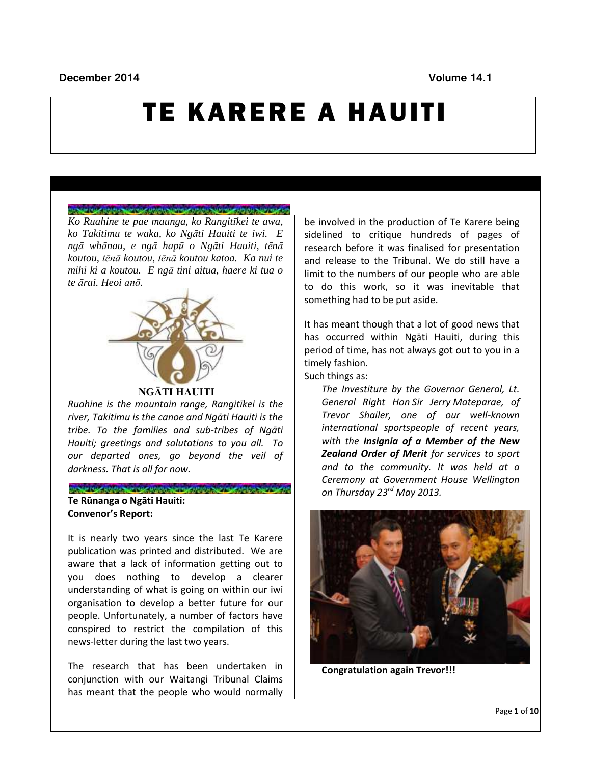### **December 2014** Volume 14.1

# TE KARERE A HAUITI

#### CHANNEL HORNING HORNING HORNING HORNING AND CHANNEL

*Ko Ruahine te pae maunga, ko Rangitīkei te awa, ko Takitimu te waka, ko Ngāti Hauiti te iwi. E ngā whānau, e ngā hapū o Ngāti Hauiti, tēnā koutou, tēnā koutou, tēnā koutou katoa. Ka nui te mihi ki a koutou. E ngā tini aitua, haere ki tua o te ārai. Heoi anō.*



#### **NGĀTI HAUITI**

*Ruahine is the mountain range, Rangitīkei is the river, Takitimu is the canoe and Ngāti Hauiti is the tribe. To the families and sub-tribes of Ngāti Hauiti; greetings and salutations to you all. To our departed ones, go beyond the veil of darkness. That is all for now.*

### CHOOSE CAN BOICH OF CHOOSE AND CHOOSE AND CHOOSE AND CHOOSE **Te Rūnanga o Ngāti Hauiti: Convenor's Report:**

It is nearly two years since the last Te Karere publication was printed and distributed. We are aware that a lack of information getting out to you does nothing to develop a clearer understanding of what is going on within our iwi organisation to develop a better future for our people. Unfortunately, a number of factors have conspired to restrict the compilation of this news-letter during the last two years.

The research that has been undertaken in conjunction with our Waitangi Tribunal Claims has meant that the people who would normally

be involved in the production of Te Karere being sidelined to critique hundreds of pages of research before it was finalised for presentation and release to the Tribunal. We do still have a limit to the numbers of our people who are able to do this work, so it was inevitable that something had to be put aside.

It has meant though that a lot of good news that has occurred within Ngāti Hauiti, during this period of time, has not always got out to you in a timely fashion.

Such things as:

*The Investiture by the Governor General, Lt. General Right Hon Sir Jerry Mateparae, of Trevor Shailer, one of our well-known international sportspeople of recent years, with the Insignia of a Member of the New Zealand Order of Merit for services to sport and to the community. It was held at a Ceremony at Government House Wellington on Thursday 23rd May 2013.* 



**Congratulation again Trevor!!!**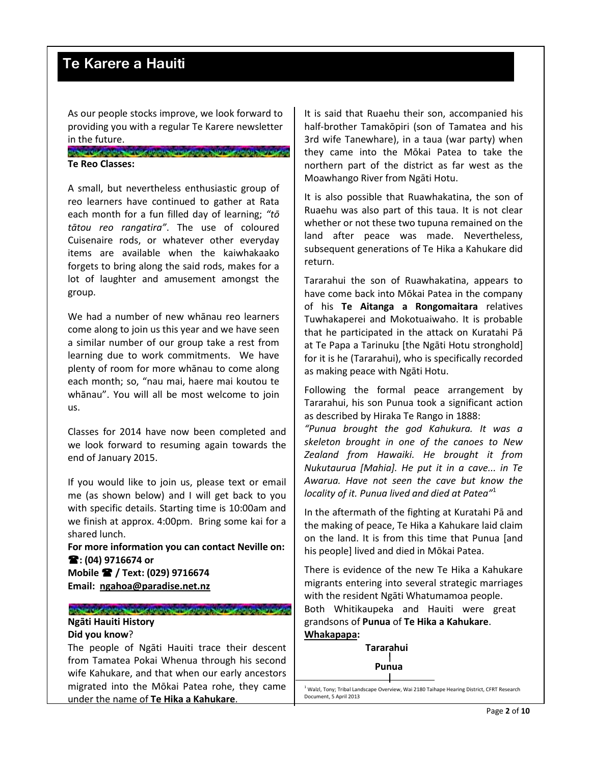As our people stocks improve, we look forward to providing you with a regular Te Karere newsletter in the future.

CHAPTER HOLD CHAPTER HOLD CHAPTER HOLD AND THE HOLD AND THE CH **Te Reo Classes:**

A small, but nevertheless enthusiastic group of reo learners have continued to gather at Rata each month for a fun filled day of learning; *"tō tātou reo rangatira"*. The use of coloured Cuisenaire rods, or whatever other everyday items are available when the kaiwhakaako forgets to bring along the said rods, makes for a lot of laughter and amusement amongst the group.

We had a number of new whānau reo learners come along to join us this year and we have seen a similar number of our group take a rest from learning due to work commitments. We have plenty of room for more whānau to come along each month; so, "nau mai, haere mai koutou te whānau". You will all be most welcome to join us.

Classes for 2014 have now been completed and we look forward to resuming again towards the end of January 2015.

If you would like to join us, please text or email me (as shown below) and I will get back to you with specific details. Starting time is 10:00am and we finish at approx. 4:00pm. Bring some kai for a shared lunch.

**For more information you can contact Neville on: : (04) 9716674 or Mobile / Text: (029) 9716674 Email: [ngahoa@paradise.net.nz](mailto:ngahoa@paradise.net.nz)** 

CHANNEL HORNARD PORTAL PROGRAMMARY AND PLATFORMARY AND CHANNEL **Ngāti Hauiti History**

## **Did you know**?

The people of Ngāti Hauiti trace their descent from Tamatea Pokai Whenua through his second wife Kahukare, and that when our early ancestors migrated into the Mōkai Patea rohe, they came under the name of **Te Hika a Kahukare**.

It is said that Ruaehu their son, accompanied his half-brother Tamakōpiri (son of Tamatea and his 3rd wife Tanewhare), in a taua (war party) when they came into the Mōkai Patea to take the northern part of the district as far west as the Moawhango River from Ngāti Hotu.

It is also possible that Ruawhakatina, the son of Ruaehu was also part of this taua. It is not clear whether or not these two tupuna remained on the land after peace was made. Nevertheless, subsequent generations of Te Hika a Kahukare did return.

Tararahui the son of Ruawhakatina, appears to have come back into Mōkai Patea in the company of his **Te Aitanga a Rongomaitara** relatives Tuwhakaperei and Mokotuaiwaho. It is probable that he participated in the attack on Kuratahi Pā at Te Papa a Tarinuku [the Ngāti Hotu stronghold] for it is he (Tararahui), who is specifically recorded as making peace with Ngāti Hotu.

Following the formal peace arrangement by Tararahui, his son Punua took a significant action as described by Hiraka Te Rango in 1888:

*"Punua brought the god Kahukura. It was a skeleton brought in one of the canoes to New Zealand from Hawaiki. He brought it from Nukutaurua [Mahia]. He put it in a cave... in Te Awarua. Have not seen the cave but know the locality of it. Punua lived and died at Patea"*<sup>1</sup> 

In the aftermath of the fighting at Kuratahi Pā and the making of peace, Te Hika a Kahukare laid claim on the land. It is from this time that Punua [and his people] lived and died in Mōkai Patea.

There is evidence of the new Te Hika a Kahukare migrants entering into several strategic marriages with the resident Ngāti Whatumamoa people. Both Whitikaupeka and Hauiti were great grandsons of **Punua** of **Te Hika a Kahukare**. **Whakapapa:**

> **Tararahui Punua**

j

 $^{1}$  Walzl, Tony; Tribal Landscape Overview, Wai 2180 Taihape Hearing District, CFRT Research Document, 5 April 2013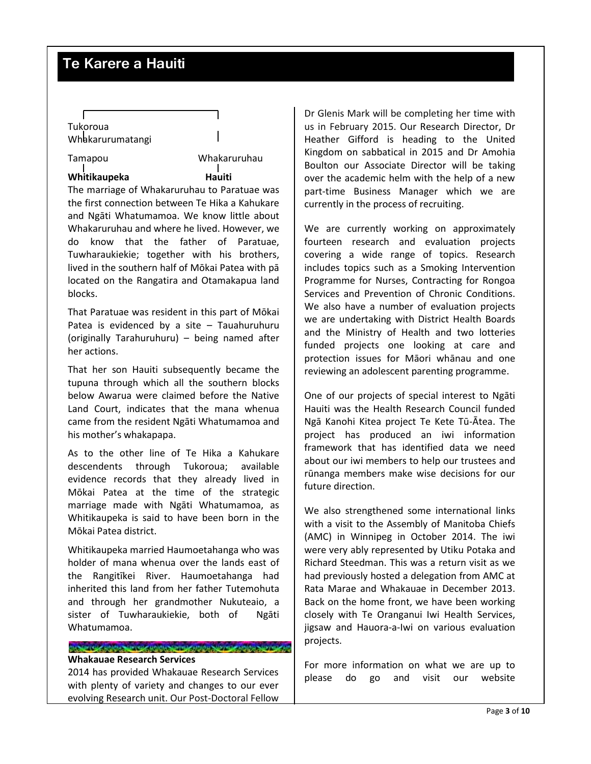# Tukoroua Whakarurumatangi

Tamapou Whakaruruhau

**Whitikaupeka Hauiti**

The marriage of Whakaruruhau to Paratuae was the first connection between Te Hika a Kahukare and Ngāti Whatumamoa. We know little about Whakaruruhau and where he lived. However, we do know that the father of Paratuae, Tuwharaukiekie; together with his brothers, lived in the southern half of Mōkai Patea with pā located on the Rangatira and Otamakapua land blocks.

That Paratuae was resident in this part of Mōkai Patea is evidenced by a site – Tauahuruhuru (originally Tarahuruhuru) – being named after her actions.

That her son Hauiti subsequently became the tupuna through which all the southern blocks below Awarua were claimed before the Native Land Court, indicates that the mana whenua came from the resident Ngāti Whatumamoa and his mother's whakapapa.

As to the other line of Te Hika a Kahukare descendents through Tukoroua; available evidence records that they already lived in Mōkai Patea at the time of the strategic marriage made with Ngāti Whatumamoa, as Whitikaupeka is said to have been born in the Mōkai Patea district.

Whitikaupeka married Haumoetahanga who was holder of mana whenua over the lands east of the Rangitīkei River. Haumoetahanga had inherited this land from her father Tutemohuta and through her grandmother Nukuteaio, a sister of Tuwharaukiekie, both of Ngāti Whatumamoa.

#### CHANNEL HOLD CANNEL HOLD CHANNEL HOLD AND CHANNEL AND CHANNEL **Whakauae Research Services**

2014 has provided Whakauae Research Services with plenty of variety and changes to our ever evolving Research unit. Our Post-Doctoral Fellow

Dr Glenis Mark will be completing her time with us in February 2015. Our Research Director, Dr Heather Gifford is heading to the United Kingdom on sabbatical in 2015 and Dr Amohia Boulton our Associate Director will be taking over the academic helm with the help of a new part-time Business Manager which we are currently in the process of recruiting.

We are currently working on approximately fourteen research and evaluation projects covering a wide range of topics. Research includes topics such as a Smoking Intervention Programme for Nurses, Contracting for Rongoa Services and Prevention of Chronic Conditions. We also have a number of evaluation projects we are undertaking with District Health Boards and the Ministry of Health and two lotteries funded projects one looking at care and protection issues for Māori whānau and one reviewing an adolescent parenting programme.

One of our projects of special interest to Ngāti Hauiti was the Health Research Council funded Ngā Kanohi Kitea project Te Kete Tū-Ātea. The project has produced an iwi information framework that has identified data we need about our iwi members to help our trustees and rūnanga members make wise decisions for our future direction.

We also strengthened some international links with a visit to the Assembly of Manitoba Chiefs (AMC) in Winnipeg in October 2014. The iwi were very ably represented by Utiku Potaka and Richard Steedman. This was a return visit as we had previously hosted a delegation from AMC at Rata Marae and Whakauae in December 2013. Back on the home front, we have been working closely with Te Oranganui Iwi Health Services, jigsaw and Hauora-a-Iwi on various evaluation projects.

For more information on what we are up to please do go and visit our website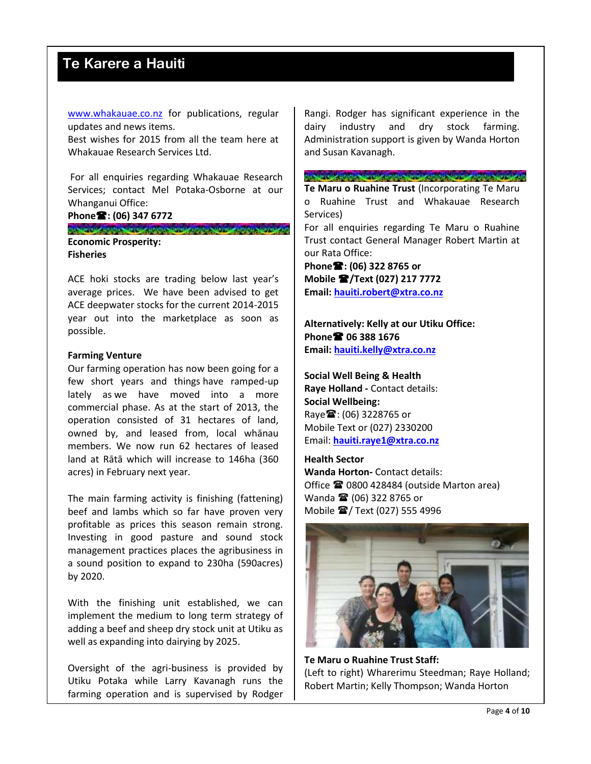[www.whakauae.co.nz](http://www.whakauae.co.nz/) for publications, regular updates and news items.

Best wishes for 2015 from all the team here at Whakauae Research Services Ltd.

For all enquiries regarding Whakauae Research Services; contact Mel Potaka-Osborne at our Whanganui Office:

#### **Phone: (06) 347 6772**

CHARTER HORNING HORNING HORNING HORNING HORNING HORNING **Economic Prosperity: Fisheries**

ACE hoki stocks are trading below last year's average prices. We have been advised to get ACE deepwater stocks for the current 2014-2015 year out into the marketplace as soon as possible.

### **Farming Venture**

Our farming operation has now been going for a few short years and things have ramped-up lately as we have moved into a more commercial phase. As at the start of 2013, the operation consisted of 31 hectares of land, owned by, and leased from, local whānau members. We now run 62 hectares of leased land at Rātā which will increase to 146ha (360 acres) in February next year.

The main farming activity is finishing (fattening) beef and lambs which so far have proven very profitable as prices this season remain strong. Investing in good pasture and sound stock management practices places the agribusiness in a sound position to expand to 230ha (590acres) by 2020.

With the finishing unit established, we can implement the medium to long term strategy of adding a beef and sheep dry stock unit at Utiku as well as expanding into dairying by 2025.

Oversight of the agri-business is provided by Utiku Potaka while Larry Kavanagh runs the farming operation and is supervised by Rodger

Rangi. Rodger has significant experience in the dairy industry and dry stock farming. Administration support is given by Wanda Horton and Susan Kavanagh.

#### CHARTER HOLD ARTHUR HOLD ARTHUR HOLD ARTHUR ARTHUR

**Te Maru o Ruahine Trust** (Incorporating Te Maru o Ruahine Trust and Whakauae Research Services)

For all enquiries regarding Te Maru o Ruahine Trust contact General Manager Robert Martin at our Rata Office:

**Phone: (06) 322 8765 or Mobile /Text (027) 217 7772 Email: [hauiti.robert@xtra.co.nz](mailto:hauiti.robert@xtra.co.nz)**

**Alternatively: Kelly at our Utiku Office: Phone 06 388 1676 Email: [hauiti.kelly@xtra.co.nz](mailto:hauiti.kelly@xtra.co.nz)**

**Social Well Being & Health Raye Holland -** Contact details: **Social Wellbeing:** Raye : (06) 3228765 or Mobile Text or (027) 2330200 Email: **[hauiti.raye1@xtra.co.nz](mailto:hauiti.raye1@xtra.co.nz)**

### **Health Sector**

**Wanda Horton-** Contact details: Office **■ 0800 428484** (outside Marton area) Wanda <sup>2</sup> (06) 322 8765 or Mobile **2**/Text (027) 555 4996



**Te Maru o Ruahine Trust Staff:** (Left to right) Wharerimu Steedman; Raye Holland; Robert Martin; Kelly Thompson; Wanda Horton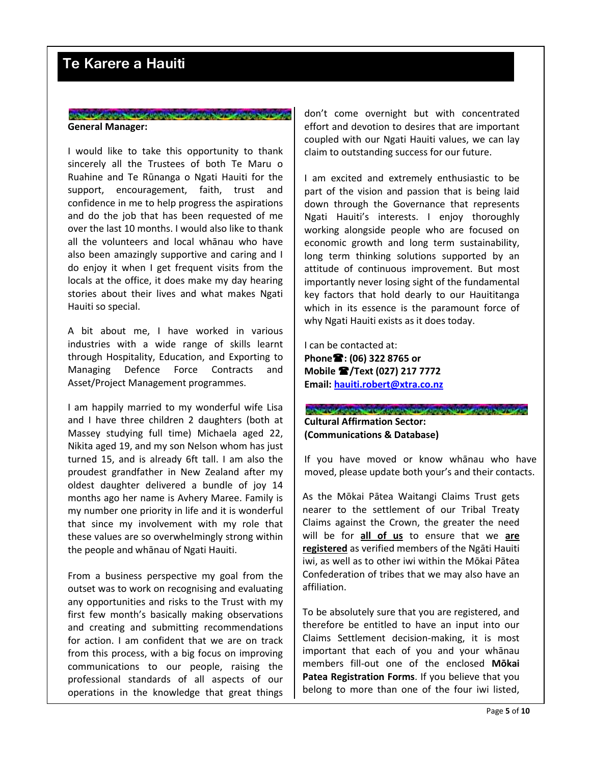### **STARTER BORDER PLACE BORDER PRINCE NEWS ARREST DESCRIPTION General Manager:**

I would like to take this opportunity to thank sincerely all the Trustees of both Te Maru o Ruahine and Te Rūnanga o Ngati Hauiti for the support, encouragement, faith, trust and confidence in me to help progress the aspirations and do the job that has been requested of me over the last 10 months. I would also like to thank all the volunteers and local whānau who have also been amazingly supportive and caring and I do enjoy it when I get frequent visits from the locals at the office, it does make my day hearing stories about their lives and what makes Ngati Hauiti so special.

A bit about me, I have worked in various industries with a wide range of skills learnt through Hospitality, Education, and Exporting to Managing Defence Force Contracts and Asset/Project Management programmes.

I am happily married to my wonderful wife Lisa and I have three children 2 daughters (both at Massey studying full time) Michaela aged 22, Nikita aged 19, and my son Nelson whom has just turned 15, and is already 6ft tall. I am also the proudest grandfather in New Zealand after my oldest daughter delivered a bundle of joy 14 months ago her name is Avhery Maree. Family is my number one priority in life and it is wonderful that since my involvement with my role that these values are so overwhelmingly strong within the people and whānau of Ngati Hauiti.

From a business perspective my goal from the outset was to work on recognising and evaluating any opportunities and risks to the Trust with my first few month's basically making observations and creating and submitting recommendations for action. I am confident that we are on track from this process, with a big focus on improving communications to our people, raising the professional standards of all aspects of our operations in the knowledge that great things

don't come overnight but with concentrated effort and devotion to desires that are important coupled with our Ngati Hauiti values, we can lay claim to outstanding success for our future.

I am excited and extremely enthusiastic to be part of the vision and passion that is being laid down through the Governance that represents Ngati Hauiti's interests. I enjoy thoroughly working alongside people who are focused on economic growth and long term sustainability, long term thinking solutions supported by an attitude of continuous improvement. But most importantly never losing sight of the fundamental key factors that hold dearly to our Hauititanga which in its essence is the paramount force of why Ngati Hauiti exists as it does today.

I can be contacted at: **Phone: (06) 322 8765 or Mobile /Text (027) 217 7772 Email: [hauiti.robert@xtra.co.nz](mailto:hauiti.robert@xtra.co.nz)**

### CHAPTER HORN APPROVALMENT CHAPTER HORN APPROVAL **Cultural Affirmation Sector: (Communications & Database)**

If you have moved or know whānau who have moved, please update both your's and their contacts.

As the Mōkai Pātea Waitangi Claims Trust gets nearer to the settlement of our Tribal Treaty Claims against the Crown, the greater the need will be for **all of us** to ensure that we **are registered** as verified members of the Ngāti Hauiti iwi, as well as to other iwi within the Mōkai Pātea Confederation of tribes that we may also have an affiliation.

To be absolutely sure that you are registered, and therefore be entitled to have an input into our Claims Settlement decision-making, it is most important that each of you and your whānau members fill-out one of the enclosed **Mōkai Patea Registration Forms**. If you believe that you belong to more than one of the four iwi listed,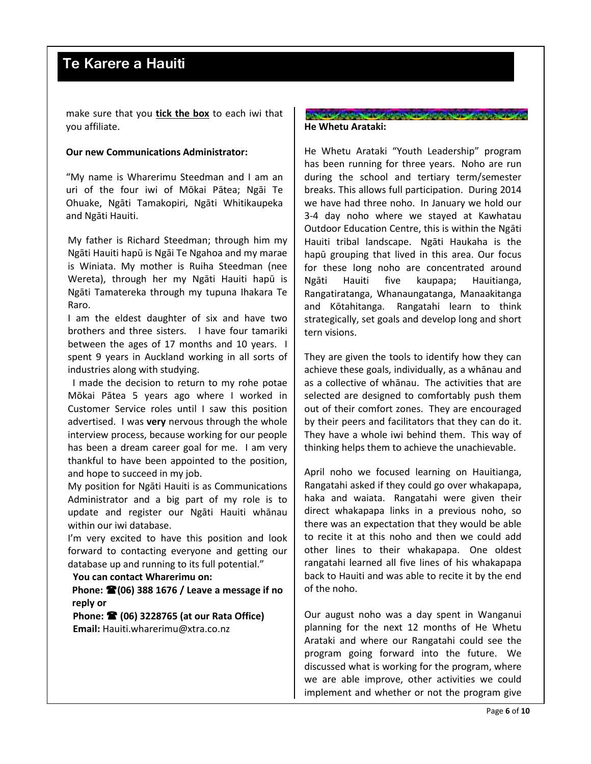make sure that you **tick the box** to each iwi that you affiliate.

### **Our new Communications Administrator:**

"My name is Wharerimu Steedman and I am an uri of the four iwi of Mōkai Pātea; Ngāi Te Ohuake, Ngāti Tamakopiri, Ngāti Whitikaupeka and Ngāti Hauiti.

My father is Richard Steedman; through him my Ngāti Hauiti hapū is Ngāi Te Ngahoa and my marae is Winiata. My mother is Ruiha Steedman (nee Wereta), through her my Ngāti Hauiti hapū is Ngāti Tamatereka through my tupuna Ihakara Te Raro.

I am the eldest daughter of six and have two brothers and three sisters. I have four tamariki between the ages of 17 months and 10 years. I spent 9 years in Auckland working in all sorts of industries along with studying.

 I made the decision to return to my rohe potae Mōkai Pātea 5 years ago where I worked in Customer Service roles until I saw this position advertised. I was **very** nervous through the whole interview process, because working for our people has been a dream career goal for me. I am very thankful to have been appointed to the position, and hope to succeed in my job.

My position for Ngāti Hauiti is as Communications Administrator and a big part of my role is to update and register our Ngāti Hauiti whānau within our iwi database.

I'm very excited to have this position and look forward to contacting everyone and getting our database up and running to its full potential."

### **You can contact Wharerimu on:**

**Phone: (06) 388 1676 / Leave a message if no reply or**

**Phone: (06) 3228765 (at our Rata Office) Email:** Hauiti.wharerimu@xtra.co.nz

### CIR SPIRE ROBBERT PLANTIN APPROXIMATION SUPPLY AND **He Whetu Arataki:**

He Whetu Arataki "Youth Leadership" program has been running for three years. Noho are run during the school and tertiary term/semester breaks. This allows full participation. During 2014 we have had three noho. In January we hold our 3-4 day noho where we stayed at Kawhatau Outdoor Education Centre, this is within the Ngāti Hauiti tribal landscape. Ngāti Haukaha is the hapū grouping that lived in this area. Our focus for these long noho are concentrated around Ngāti Hauiti five kaupapa; Hauitianga, Rangatiratanga, Whanaungatanga, Manaakitanga and Kōtahitanga. Rangatahi learn to think strategically, set goals and develop long and short tern visions.

They are given the tools to identify how they can achieve these goals, individually, as a whānau and as a collective of whānau. The activities that are selected are designed to comfortably push them out of their comfort zones. They are encouraged by their peers and facilitators that they can do it. They have a whole iwi behind them. This way of thinking helps them to achieve the unachievable.

April noho we focused learning on Hauitianga, Rangatahi asked if they could go over whakapapa, haka and waiata. Rangatahi were given their direct whakapapa links in a previous noho, so there was an expectation that they would be able to recite it at this noho and then we could add other lines to their whakapapa. One oldest rangatahi learned all five lines of his whakapapa back to Hauiti and was able to recite it by the end of the noho.

Our august noho was a day spent in Wanganui planning for the next 12 months of He Whetu Arataki and where our Rangatahi could see the program going forward into the future. We discussed what is working for the program, where we are able improve, other activities we could implement and whether or not the program give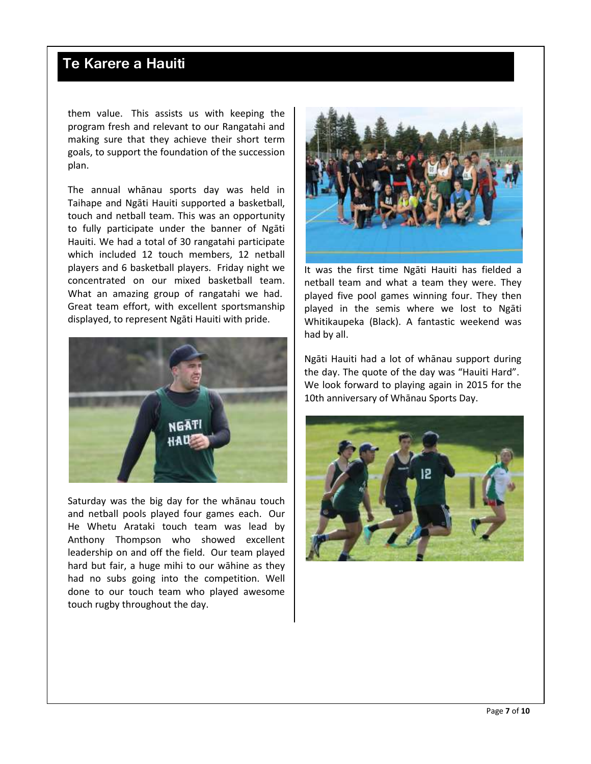them value. This assists us with keeping the program fresh and relevant to our Rangatahi and making sure that they achieve their short term goals, to support the foundation of the succession plan.

The annual whānau sports day was held in Taihape and Ngāti Hauiti supported a basketball, touch and netball team. This was an opportunity to fully participate under the banner of Ngāti Hauiti. We had a total of 30 rangatahi participate which included 12 touch members, 12 netball players and 6 basketball players. Friday night we concentrated on our mixed basketball team. What an amazing group of rangatahi we had. Great team effort, with excellent sportsmanship displayed, to represent Ngāti Hauiti with pride.



Saturday was the big day for the whānau touch and netball pools played four games each. Our He Whetu Arataki touch team was lead by Anthony Thompson who showed excellent leadership on and off the field. Our team played hard but fair, a huge mihi to our wāhine as they had no subs going into the competition. Well done to our touch team who played awesome touch rugby throughout the day.



It was the first time Ngāti Hauiti has fielded a netball team and what a team they were. They played five pool games winning four. They then played in the semis where we lost to Ngāti Whitikaupeka (Black). A fantastic weekend was had by all.

Ngāti Hauiti had a lot of whānau support during the day. The quote of the day was "Hauiti Hard". We look forward to playing again in 2015 for the 10th anniversary of Whānau Sports Day.

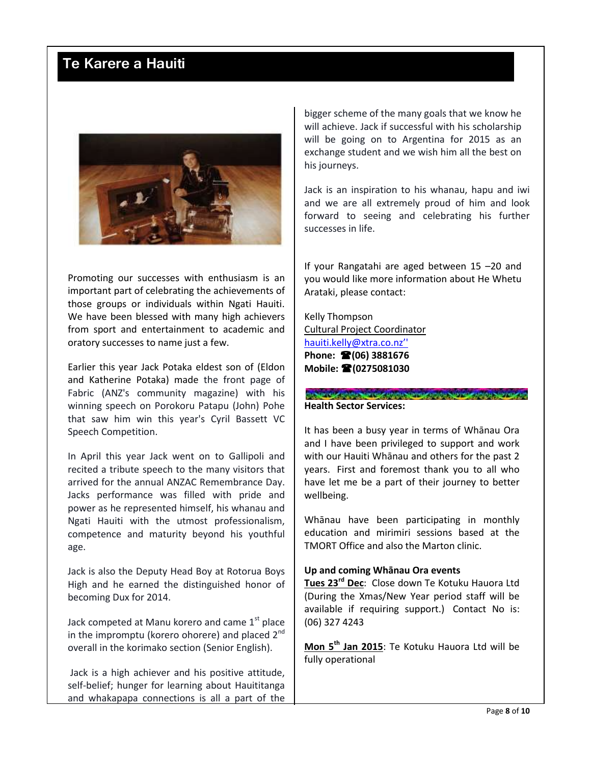

Promoting our successes with enthusiasm is an important part of celebrating the achievements of those groups or individuals within Ngati Hauiti. We have been blessed with many high achievers from sport and entertainment to academic and oratory successes to name just a few.

Earlier this year Jack Potaka eldest son of (Eldon and Katherine Potaka) made the front page of Fabric (ANZ's community magazine) with his winning speech on Porokoru Patapu (John) Pohe that saw him win this year's Cyril Bassett VC Speech Competition.

In April this year Jack went on to Gallipoli and recited a tribute speech to the many visitors that arrived for the annual ANZAC Remembrance Day. Jacks performance was filled with pride and power as he represented himself, his whanau and Ngati Hauiti with the utmost professionalism, competence and maturity beyond his youthful age.

Jack is also the Deputy Head Boy at Rotorua Boys High and he earned the distinguished honor of becoming Dux for 2014.

Jack competed at Manu korero and came  $1<sup>st</sup>$  place in the impromptu (korero ohorere) and placed  $2^{nd}$ overall in the korimako section (Senior English).

Jack is a high achiever and his positive attitude, self-belief; hunger for learning about Hauititanga and whakapapa connections is all a part of the

bigger scheme of the many goals that we know he will achieve. Jack if successful with his scholarship will be going on to Argentina for 2015 as an exchange student and we wish him all the best on his journeys.

Jack is an inspiration to his whanau, hapu and iwi and we are all extremely proud of him and look forward to seeing and celebrating his further successes in life.

If your Rangatahi are aged between 15 –20 and you would like more information about He Whetu Arataki, please contact:

Kelly Thompson Cultural Project Coordinator [hauiti.kelly@xtra.co.nz''](mailto:hauiti.kelly@xtra.co.nz’) **Phone: (06) 3881676 Mobile: (0275081030**

CLASH WAS BOICH AND CONCRETENT BOICH AND CLASH AND CLASHED **Health Sector Services:**

It has been a busy year in terms of Whānau Ora and I have been privileged to support and work with our Hauiti Whānau and others for the past 2 years. First and foremost thank you to all who have let me be a part of their journey to better wellbeing.

Whānau have been participating in monthly education and mirimiri sessions based at the TMORT Office and also the Marton clinic.

### **Up and coming Whānau Ora events**

**Tues 23rd Dec**: Close down Te Kotuku Hauora Ltd (During the Xmas/New Year period staff will be available if requiring support.) Contact No is: (06) 327 4243

**Mon 5th Jan 2015**: Te Kotuku Hauora Ltd will be fully operational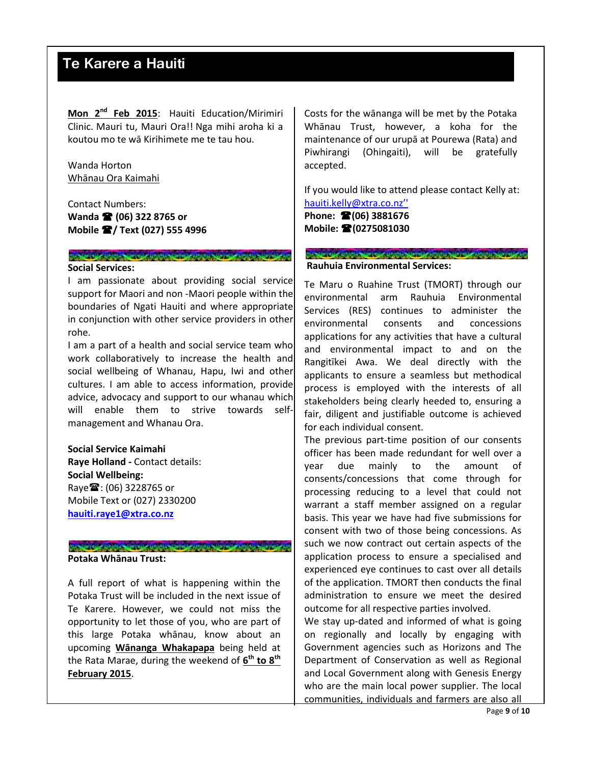**Mon 2nd Feb 2015**: Hauiti Education/Mirimiri Clinic. Mauri tu, Mauri Ora!! Nga mihi aroha ki a koutou mo te wā Kirihimete me te tau hou.

Wanda Horton Whānau Ora Kaimahi

Contact Numbers: **Wanda <sup>2</sup> (06) 322 8765 or Mobile / Text (027) 555 4996**

### CHANGE HORNARD PLAT USION APPROVAL A PIPER HORNARD AND PLATFOR **Social Services:**

I am passionate about providing social service support for Maori and non -Maori people within the boundaries of Ngati Hauiti and where appropriate in conjunction with other service providers in other rohe.

I am a part of a health and social service team who work collaboratively to increase the health and social wellbeing of Whanau, Hapu, Iwi and other cultures. I am able to access information, provide advice, advocacy and support to our whanau which will enable them to strive towards selfmanagement and Whanau Ora.

**Social Service Kaimahi Raye Holland -** Contact details: **Social Wellbeing:** Raye : (06) 3228765 or Mobile Text or (027) 2330200 **[hauiti.raye1@xtra.co.nz](mailto:hauiti.raye1@xtra.co.nz)**

### CIRCUM HOLD CHANGE HOLD SPIEL AND CHANGE TO CHANGE TO CHANGE **Potaka Whānau Trust:**

A full report of what is happening within the Potaka Trust will be included in the next issue of Te Karere. However, we could not miss the opportunity to let those of you, who are part of this large Potaka whānau, know about an upcoming **Wānanga Whakapapa** being held at the Rata Marae, during the weekend of **6 th to 8th February 2015**.

Costs for the wānanga will be met by the Potaka Whānau Trust, however, a koha for the maintenance of our urupā at Pourewa (Rata) and Piwhirangi (Ohingaiti), will be gratefully accepted.

If you would like to attend please contact Kelly at: [hauiti.kelly@xtra.co.nz''](mailto:hauiti.kelly@xtra.co.nz’)

**Phone: (06) 3881676 Mobile: (0275081030**

#### CONFIDENTIAL COCONTING APPROXIMATION **Rauhuia Environmental Services:**

Te Maru o Ruahine Trust (TMORT) through our environmental arm Rauhuia Environmental Services (RES) continues to administer the environmental consents and concessions applications for any activities that have a cultural and environmental impact to and on the Rangitīkei Awa. We deal directly with the applicants to ensure a seamless but methodical process is employed with the interests of all stakeholders being clearly heeded to, ensuring a fair, diligent and justifiable outcome is achieved for each individual consent.

The previous part-time position of our consents officer has been made redundant for well over a year due mainly to the amount of consents/concessions that come through for processing reducing to a level that could not warrant a staff member assigned on a regular basis. This year we have had five submissions for consent with two of those being concessions. As such we now contract out certain aspects of the application process to ensure a specialised and experienced eye continues to cast over all details of the application. TMORT then conducts the final administration to ensure we meet the desired outcome for all respective parties involved.

We stay up-dated and informed of what is going on regionally and locally by engaging with Government agencies such as Horizons and The Department of Conservation as well as Regional and Local Government along with Genesis Energy who are the main local power supplier. The local communities, individuals and farmers are also all